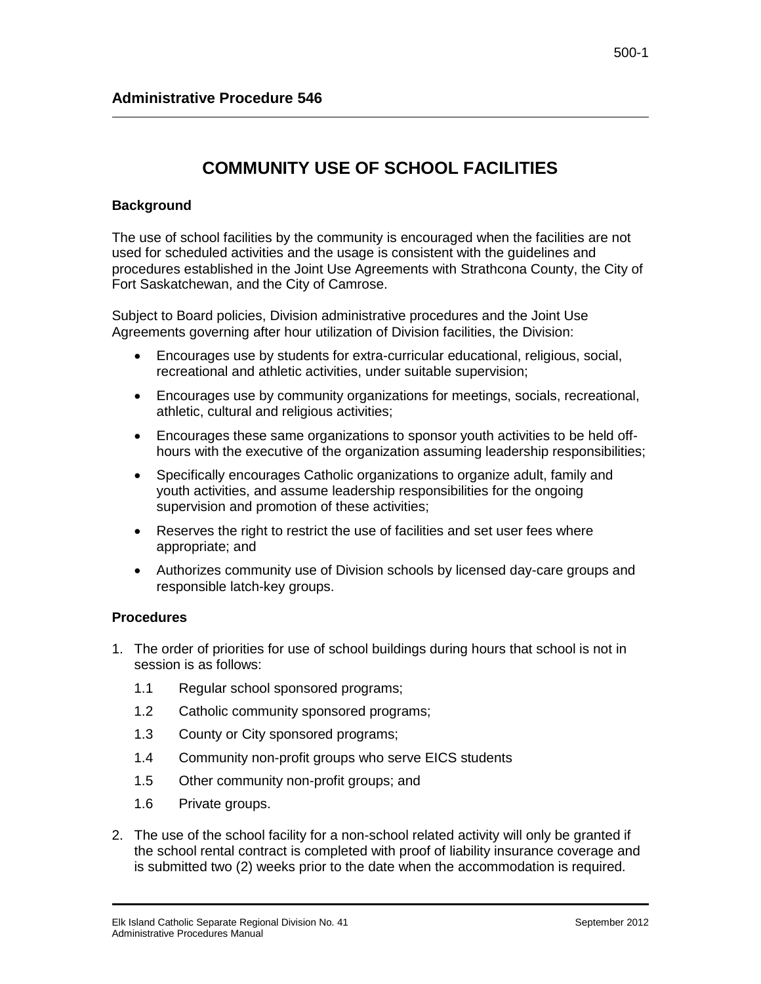## **COMMUNITY USE OF SCHOOL FACILITIES**

## **Background**

The use of school facilities by the community is encouraged when the facilities are not used for scheduled activities and the usage is consistent with the guidelines and procedures established in the Joint Use Agreements with Strathcona County, the City of Fort Saskatchewan, and the City of Camrose.

Subject to Board policies, Division administrative procedures and the Joint Use Agreements governing after hour utilization of Division facilities, the Division:

- Encourages use by students for extra-curricular educational, religious, social, recreational and athletic activities, under suitable supervision;
- Encourages use by community organizations for meetings, socials, recreational, athletic, cultural and religious activities;
- Encourages these same organizations to sponsor youth activities to be held offhours with the executive of the organization assuming leadership responsibilities;
- Specifically encourages Catholic organizations to organize adult, family and youth activities, and assume leadership responsibilities for the ongoing supervision and promotion of these activities;
- Reserves the right to restrict the use of facilities and set user fees where appropriate; and
- Authorizes community use of Division schools by licensed day-care groups and responsible latch-key groups.

## **Procedures**

- 1. The order of priorities for use of school buildings during hours that school is not in session is as follows:
	- 1.1 Regular school sponsored programs;
	- 1.2 Catholic community sponsored programs;
	- 1.3 County or City sponsored programs;
	- 1.4 Community non-profit groups who serve EICS students
	- 1.5 Other community non-profit groups; and
	- 1.6 Private groups.
- 2. The use of the school facility for a non-school related activity will only be granted if the school rental contract is completed with proof of liability insurance coverage and is submitted two (2) weeks prior to the date when the accommodation is required.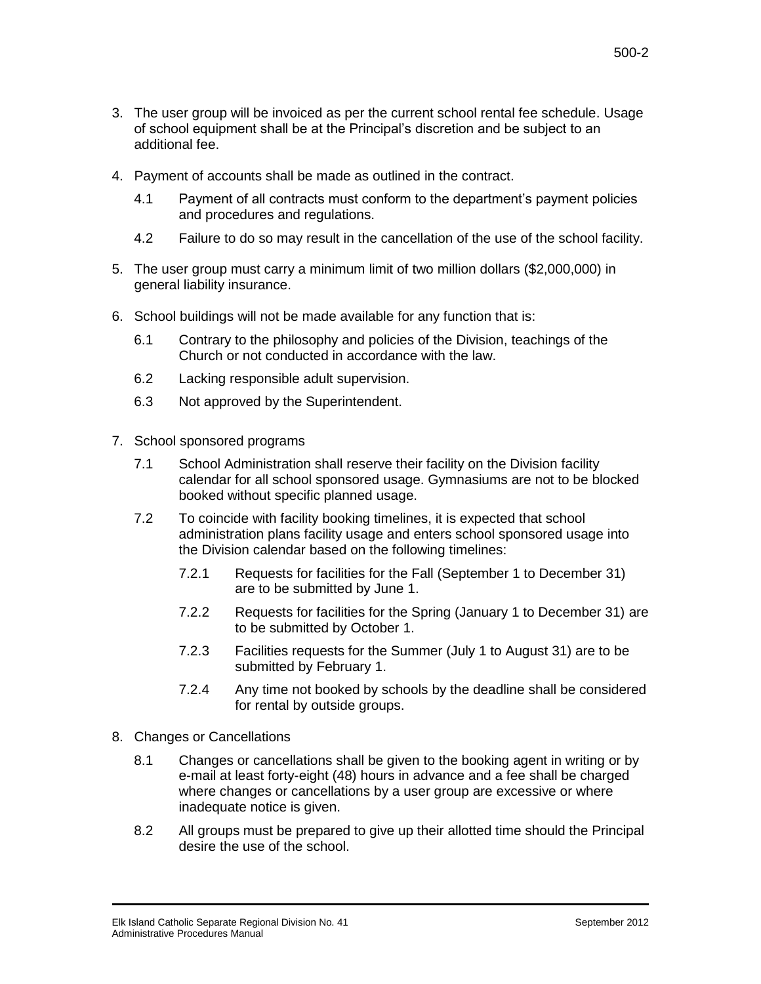- 3. The user group will be invoiced as per the current school rental fee schedule. Usage of school equipment shall be at the Principal's discretion and be subject to an additional fee.
- 4. Payment of accounts shall be made as outlined in the contract.
	- 4.1 Payment of all contracts must conform to the department's payment policies and procedures and regulations.
	- 4.2 Failure to do so may result in the cancellation of the use of the school facility.
- 5. The user group must carry a minimum limit of two million dollars (\$2,000,000) in general liability insurance.
- 6. School buildings will not be made available for any function that is:
	- 6.1 Contrary to the philosophy and policies of the Division, teachings of the Church or not conducted in accordance with the law.
	- 6.2 Lacking responsible adult supervision.
	- 6.3 Not approved by the Superintendent.
- 7. School sponsored programs
	- 7.1 School Administration shall reserve their facility on the Division facility calendar for all school sponsored usage. Gymnasiums are not to be blocked booked without specific planned usage.
	- 7.2 To coincide with facility booking timelines, it is expected that school administration plans facility usage and enters school sponsored usage into the Division calendar based on the following timelines:
		- 7.2.1 Requests for facilities for the Fall (September 1 to December 31) are to be submitted by June 1.
		- 7.2.2 Requests for facilities for the Spring (January 1 to December 31) are to be submitted by October 1.
		- 7.2.3 Facilities requests for the Summer (July 1 to August 31) are to be submitted by February 1.
		- 7.2.4 Any time not booked by schools by the deadline shall be considered for rental by outside groups.
- 8. Changes or Cancellations
	- 8.1 Changes or cancellations shall be given to the booking agent in writing or by e-mail at least forty-eight (48) hours in advance and a fee shall be charged where changes or cancellations by a user group are excessive or where inadequate notice is given.
	- 8.2 All groups must be prepared to give up their allotted time should the Principal desire the use of the school.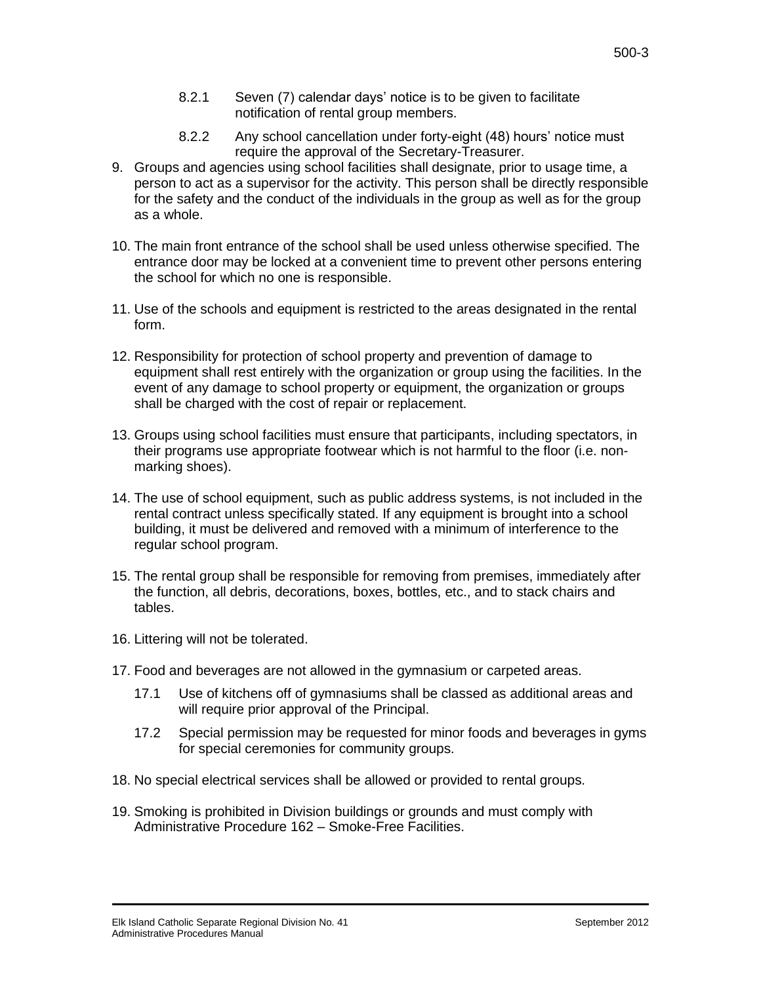- 8.2.1 Seven (7) calendar days' notice is to be given to facilitate notification of rental group members.
- 8.2.2 Any school cancellation under forty-eight (48) hours' notice must require the approval of the Secretary-Treasurer.
- 9. Groups and agencies using school facilities shall designate, prior to usage time, a person to act as a supervisor for the activity. This person shall be directly responsible for the safety and the conduct of the individuals in the group as well as for the group as a whole.
- 10. The main front entrance of the school shall be used unless otherwise specified. The entrance door may be locked at a convenient time to prevent other persons entering the school for which no one is responsible.
- 11. Use of the schools and equipment is restricted to the areas designated in the rental form.
- 12. Responsibility for protection of school property and prevention of damage to equipment shall rest entirely with the organization or group using the facilities. In the event of any damage to school property or equipment, the organization or groups shall be charged with the cost of repair or replacement.
- 13. Groups using school facilities must ensure that participants, including spectators, in their programs use appropriate footwear which is not harmful to the floor (i.e. nonmarking shoes).
- 14. The use of school equipment, such as public address systems, is not included in the rental contract unless specifically stated. If any equipment is brought into a school building, it must be delivered and removed with a minimum of interference to the regular school program.
- 15. The rental group shall be responsible for removing from premises, immediately after the function, all debris, decorations, boxes, bottles, etc., and to stack chairs and tables.
- 16. Littering will not be tolerated.
- 17. Food and beverages are not allowed in the gymnasium or carpeted areas.
	- 17.1 Use of kitchens off of gymnasiums shall be classed as additional areas and will require prior approval of the Principal.
	- 17.2 Special permission may be requested for minor foods and beverages in gyms for special ceremonies for community groups.
- 18. No special electrical services shall be allowed or provided to rental groups.
- 19. Smoking is prohibited in Division buildings or grounds and must comply with Administrative Procedure 162 – Smoke-Free Facilities.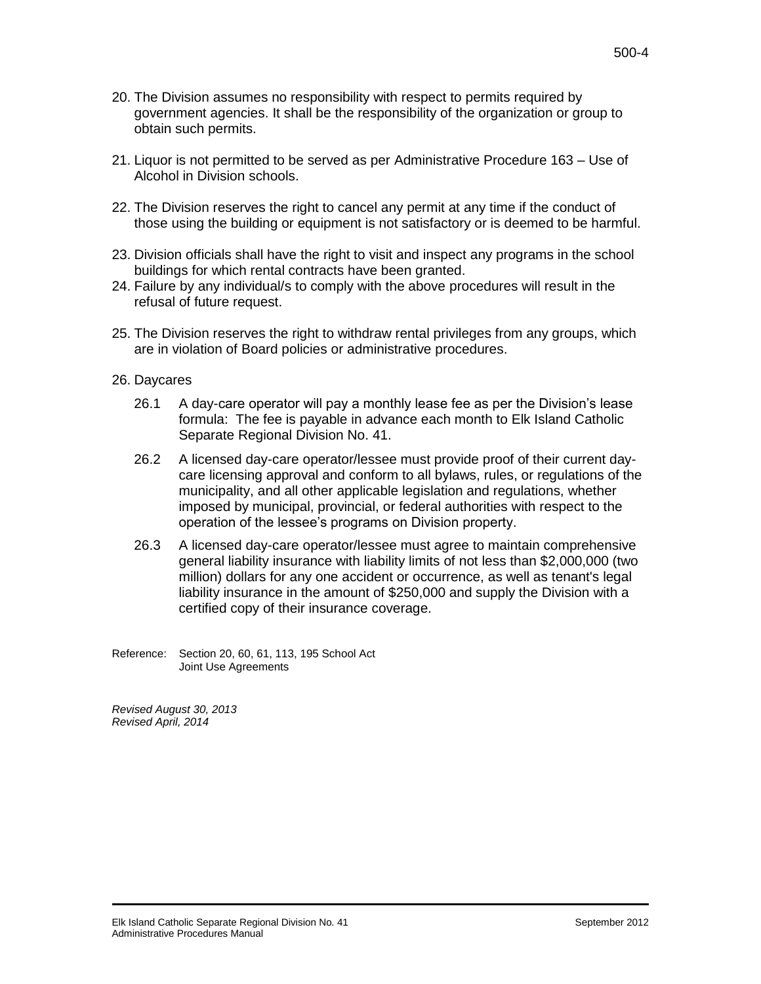- 20. The Division assumes no responsibility with respect to permits required by government agencies. It shall be the responsibility of the organization or group to obtain such permits.
- 21. Liquor is not permitted to be served as per Administrative Procedure 163 Use of Alcohol in Division schools.
- 22. The Division reserves the right to cancel any permit at any time if the conduct of those using the building or equipment is not satisfactory or is deemed to be harmful.
- 23. Division officials shall have the right to visit and inspect any programs in the school buildings for which rental contracts have been granted.
- 24. Failure by any individual/s to comply with the above procedures will result in the refusal of future request.
- 25. The Division reserves the right to withdraw rental privileges from any groups, which are in violation of Board policies or administrative procedures.
- 26. Daycares
	- 26.1 A day-care operator will pay a monthly lease fee as per the Division's lease formula: The fee is payable in advance each month to Elk Island Catholic Separate Regional Division No. 41.
	- 26.2 A licensed day-care operator/lessee must provide proof of their current daycare licensing approval and conform to all bylaws, rules, or regulations of the municipality, and all other applicable legislation and regulations, whether imposed by municipal, provincial, or federal authorities with respect to the operation of the lessee's programs on Division property.
	- 26.3 A licensed day-care operator/lessee must agree to maintain comprehensive general liability insurance with liability limits of not less than \$2,000,000 (two million) dollars for any one accident or occurrence, as well as tenant's legal liability insurance in the amount of \$250,000 and supply the Division with a certified copy of their insurance coverage.
- Reference: Section 20, 60, 61, 113, 195 School Act Joint Use Agreements

*Revised August 30, 2013 Revised April, 2014*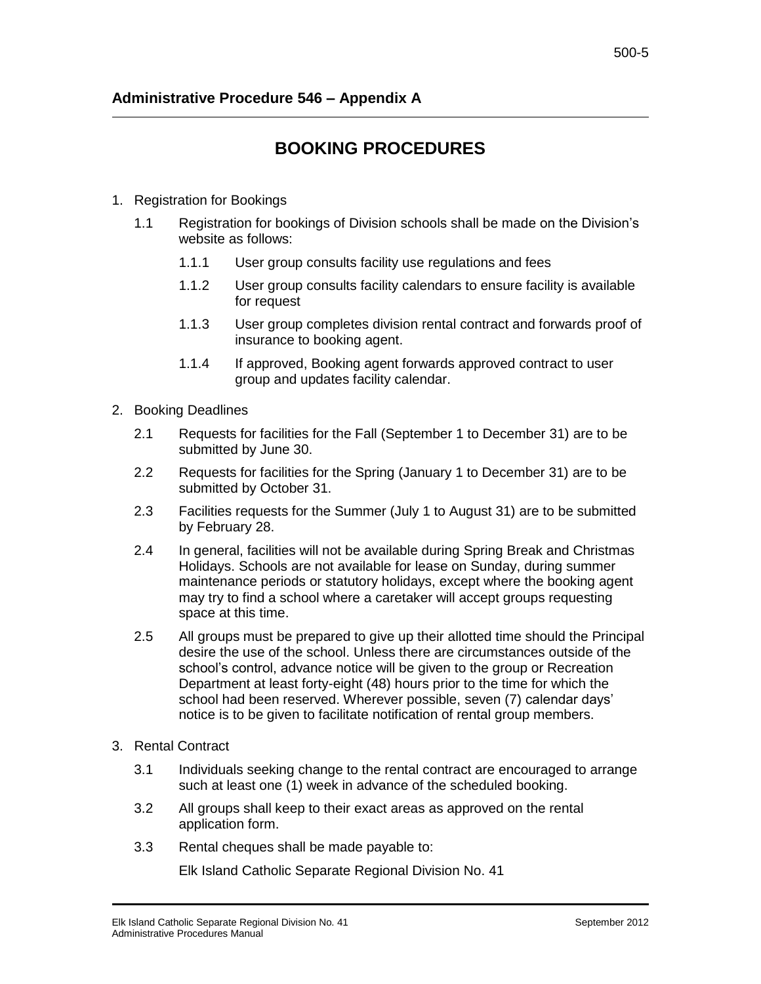## **BOOKING PROCEDURES**

- 1. Registration for Bookings
	- 1.1 Registration for bookings of Division schools shall be made on the Division's website as follows:
		- 1.1.1 User group consults facility use regulations and fees
		- 1.1.2 User group consults facility calendars to ensure facility is available for request
		- 1.1.3 User group completes division rental contract and forwards proof of insurance to booking agent.
		- 1.1.4 If approved, Booking agent forwards approved contract to user group and updates facility calendar.
- 2. Booking Deadlines
	- 2.1 Requests for facilities for the Fall (September 1 to December 31) are to be submitted by June 30.
	- 2.2 Requests for facilities for the Spring (January 1 to December 31) are to be submitted by October 31.
	- 2.3 Facilities requests for the Summer (July 1 to August 31) are to be submitted by February 28.
	- 2.4 In general, facilities will not be available during Spring Break and Christmas Holidays. Schools are not available for lease on Sunday, during summer maintenance periods or statutory holidays, except where the booking agent may try to find a school where a caretaker will accept groups requesting space at this time.
	- 2.5 All groups must be prepared to give up their allotted time should the Principal desire the use of the school. Unless there are circumstances outside of the school's control, advance notice will be given to the group or Recreation Department at least forty-eight (48) hours prior to the time for which the school had been reserved. Wherever possible, seven (7) calendar days' notice is to be given to facilitate notification of rental group members.
- 3. Rental Contract
	- 3.1 Individuals seeking change to the rental contract are encouraged to arrange such at least one (1) week in advance of the scheduled booking.
	- 3.2 All groups shall keep to their exact areas as approved on the rental application form.
	- 3.3 Rental cheques shall be made payable to:

Elk Island Catholic Separate Regional Division No. 41